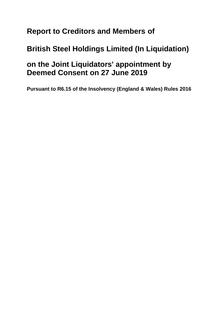# **Report to Creditors and Members of**

# **British Steel Holdings Limited (In Liquidation)**

### **on the Joint Liquidators' appointment by Deemed Consent on 27 June 2019**

**Pursuant to R6.15 of the Insolvency (England & Wales) Rules 2016**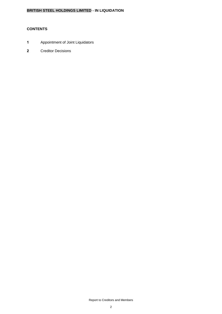### **CONTENTS**

- **1** Appointment of Joint Liquidators
- **2** Creditor Decisions